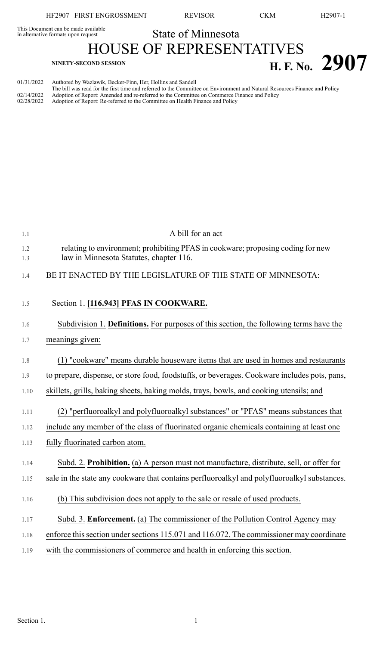HF2907 FIRST ENGROSSMENT REVISOR CKM H2907-1

This Document can be made available<br>in alternative formats upon request

State of Minnesota

HOUSE OF REPRESENTATIVES  $H. F. No. 2907$ 

| 01/31/2022               | Authored by Wazlawik, Becker-Finn, Her, Hollins and Sandell                                                                                                                                                                                                                                                |
|--------------------------|------------------------------------------------------------------------------------------------------------------------------------------------------------------------------------------------------------------------------------------------------------------------------------------------------------|
| 02/14/2022<br>02/28/2022 | The bill was read for the first time and referred to the Committee on Environment and Natural Resources Finance and Policy<br>Adoption of Report: Amended and re-referred to the Committee on Commerce Finance and Policy<br>Adoption of Report: Re-referred to the Committee on Health Finance and Policy |

| 1.1        | A bill for an act                                                                                                          |
|------------|----------------------------------------------------------------------------------------------------------------------------|
| 1.2<br>1.3 | relating to environment; prohibiting PFAS in cookware; proposing coding for new<br>law in Minnesota Statutes, chapter 116. |
| 1.4        | BE IT ENACTED BY THE LEGISLATURE OF THE STATE OF MINNESOTA:                                                                |
| 1.5        | Section 1. [116.943] PFAS IN COOKWARE.                                                                                     |
| 1.6        | Subdivision 1. Definitions. For purposes of this section, the following terms have the                                     |
| 1.7        | meanings given:                                                                                                            |
| 1.8        | (1) "cookware" means durable houseware items that are used in homes and restaurants                                        |
| 1.9        | to prepare, dispense, or store food, foodstuffs, or beverages. Cookware includes pots, pans,                               |
| 1.10       | skillets, grills, baking sheets, baking molds, trays, bowls, and cooking utensils; and                                     |
| 1.11       | (2) "perfluoroalkyl and polyfluoroalkyl substances" or "PFAS" means substances that                                        |
| 1.12       | include any member of the class of fluorinated organic chemicals containing at least one                                   |
| 1.13       | fully fluorinated carbon atom.                                                                                             |
| 1.14       | Subd. 2. Prohibition. (a) A person must not manufacture, distribute, sell, or offer for                                    |
| 1.15       | sale in the state any cookware that contains perfluoroalkyl and polyfluoroalkyl substances.                                |
| 1.16       | (b) This subdivision does not apply to the sale or resale of used products.                                                |
| 1.17       | Subd. 3. Enforcement. (a) The commissioner of the Pollution Control Agency may                                             |
| 1.18       | enforce this section under sections 115.071 and 116.072. The commissioner may coordinate                                   |
| 1.19       | with the commissioners of commerce and health in enforcing this section.                                                   |